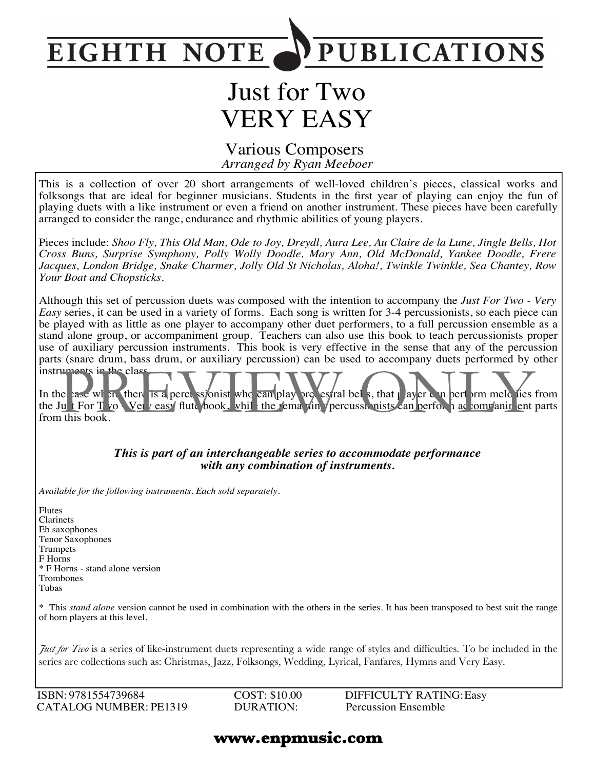

# Just for Two VERY EASY

#### *Arranged by Ryan Meeboer* Various Composers

This is a collection of over 20 short arrangements of well-loved children's pieces, classical works and folksongs that are ideal for beginner musicians. Students in the first year of playing can enjoy the fun of playing duets with a like instrument or even a friend on another instrument. These pieces have been carefully arranged to consider the range, endurance and rhythmic abilities of young players.

Pieces include: Shoo Fly, This Old Man, Ode to Joy, Dreydl, Aura Lee, Au Claire de la Lune, Jingle Bells, Hot *Cross Buns, Surprise Symphony, Polly Wolly Doodle, Mary Ann, Old McDonald, Yankee Doodle, Frere Jacques, London Bridge, Snake Charmer, Jolly Old St Nicholas, Aloha!, Twinkle Twinkle, Sea Chantey, Row Your Boat and Chopsticks.*

Although this set of percussion duets was composed with the intention to accompany the *Just For Two - Very Easy* series, it can be used in a variety of forms. Each song is written for 3-4 percussionists, so each piece can be played with as little as one player to accompany other duet performers, to a full percussion ensemble as a stand alone group, or accompaniment group. Teachers can also use this book to teach percussionists proper use of auxiliary percussion instruments. This book is very effective in the sense that any of the percussion parts (snare drum, bass drum, or auxiliary percussion) can be used to accompany duets performed by other instruments in the class.

In the case where there is a percussionist who can play orchestral bells, that player can perform melodies from the Just For Two Nery easy flute book, while the remaining percussionists can berform accompaniment parts from this book. when the class<br>
Then is a perce solonist who can play are estral bels, that I ayer e n per arm meld lies<br>
It For T vo Ver reasy flute book, while the remain percussionists can perfor a a comranir ent<br>
this book.

#### *This is part of an interchangeable series to accommodate performance with any combination of instruments.*

*Available for the following instruments. Each sold separately.*

Flutes Clarinets Eb saxophones Tenor Saxophones Trumpets F Horns \* F Horns - stand alone version Trombones Tubas

\* This *stand alone* version cannot be used in combination with the others in the series. It has been transposed to best suit the range of horn players at this level.

*Just for Two* is a series of like-instrument duets representing a wide range of styles and difficulties. To be included in the series are collections such as: Christmas, Jazz, Folksongs, Wedding, Lyrical, Fanfares, Hymns and Very Easy.

ISBN: 9781554739684 CATALOG NUMBER: PE1319 COST: \$10.00 DURATION:

DIFFICULTY RATING:Easy Percussion Ensemble

#### **www.enpmusic.com**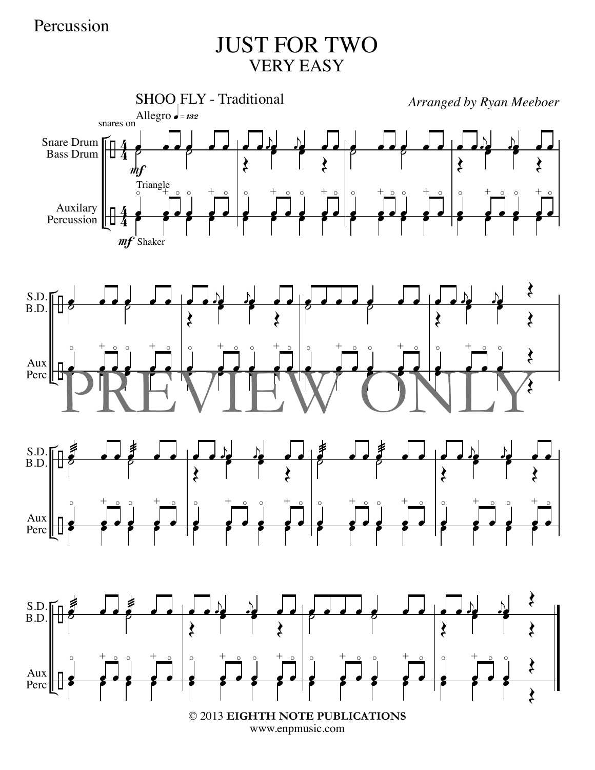# JUST FOR TWO VERY EASY



www.enpmusic.com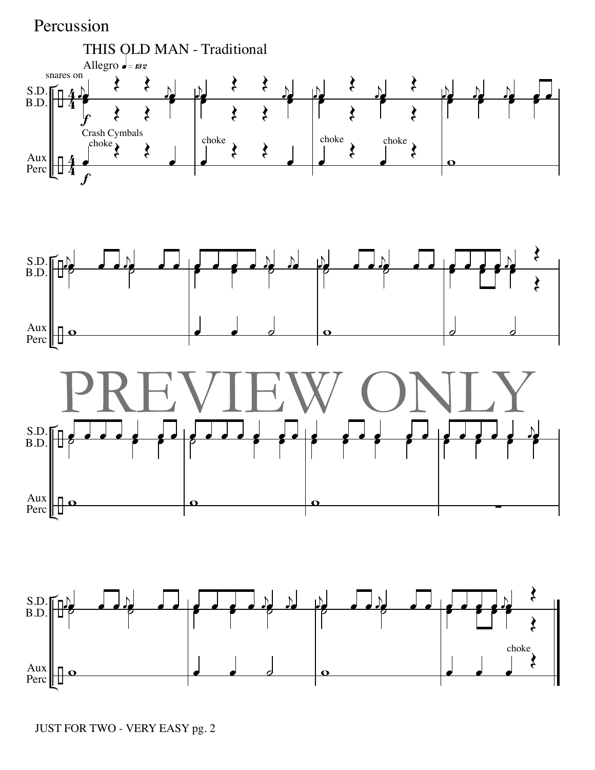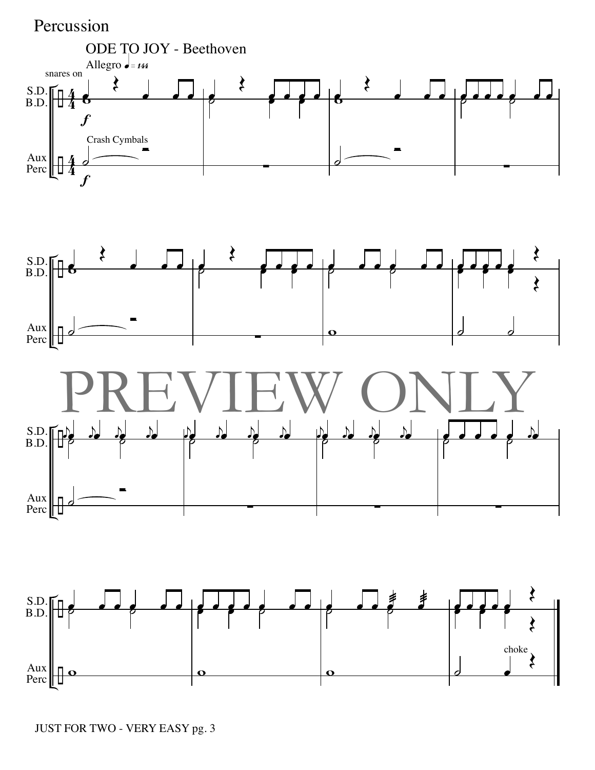

JUST FOR TWO - VERY EASY pg. 3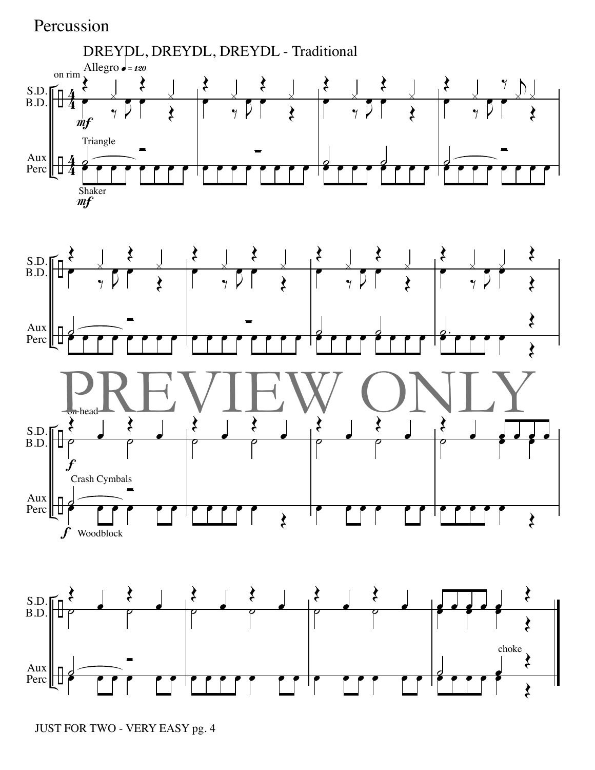

JUST FOR TWO - VERY EASY pg. 4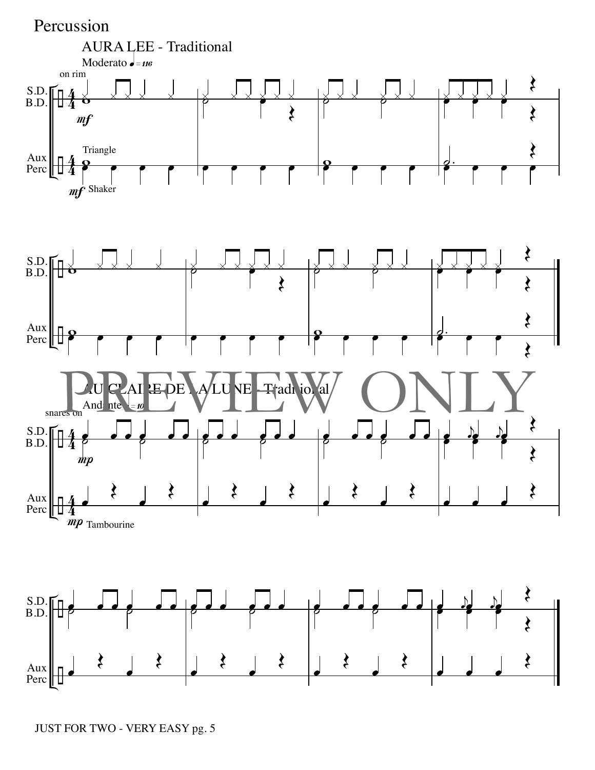

JUST FOR TWO - VERY EASY pg. 5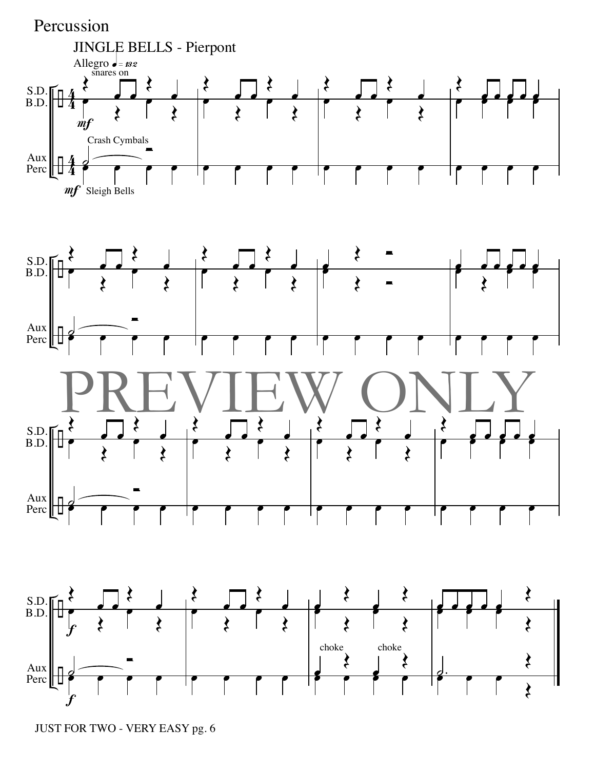

JUST FOR TWO - VERY EASY pg. 6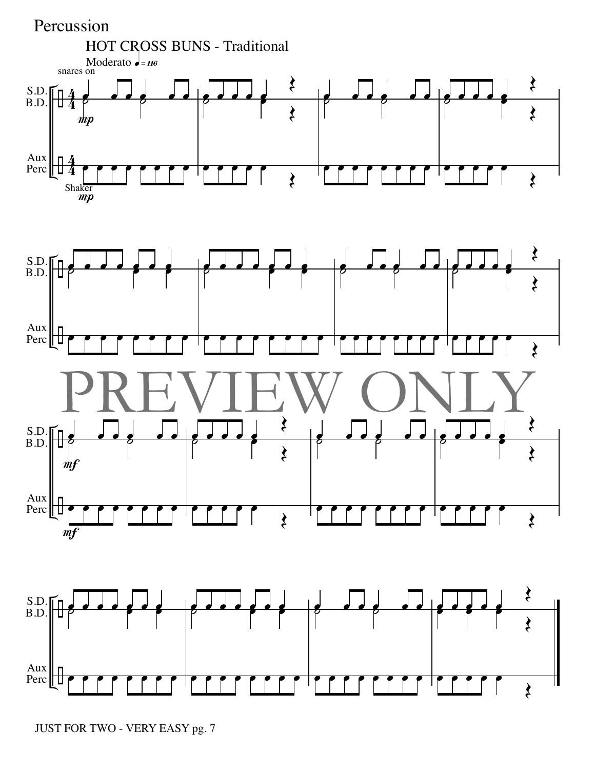

JUST FOR TWO - VERY EASY pg. 7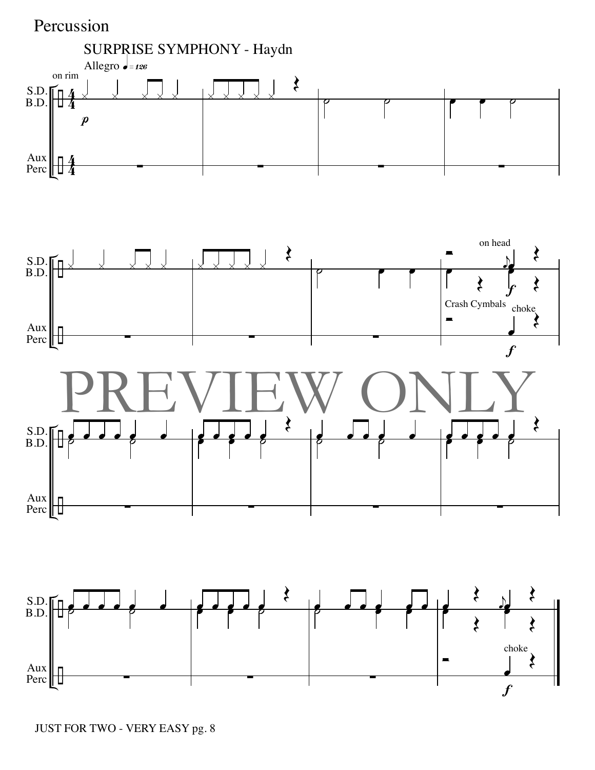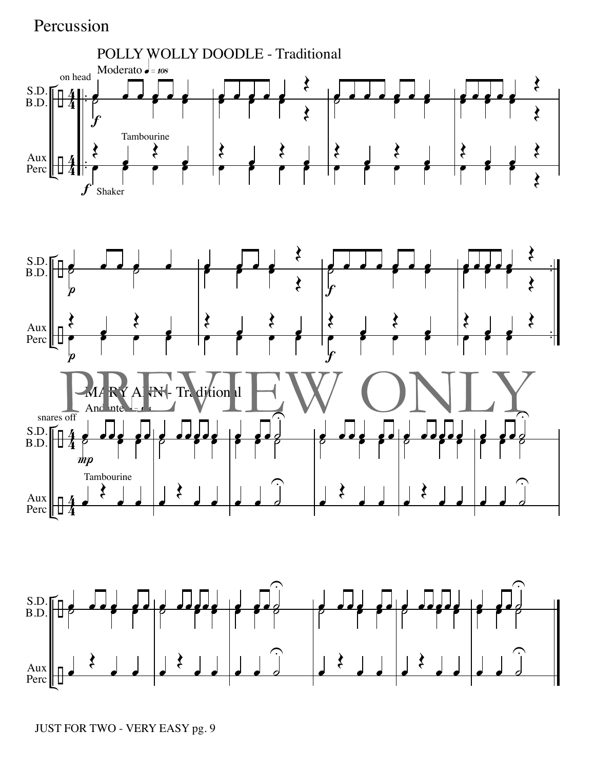

JUST FOR TWO - VERY EASY pg. 9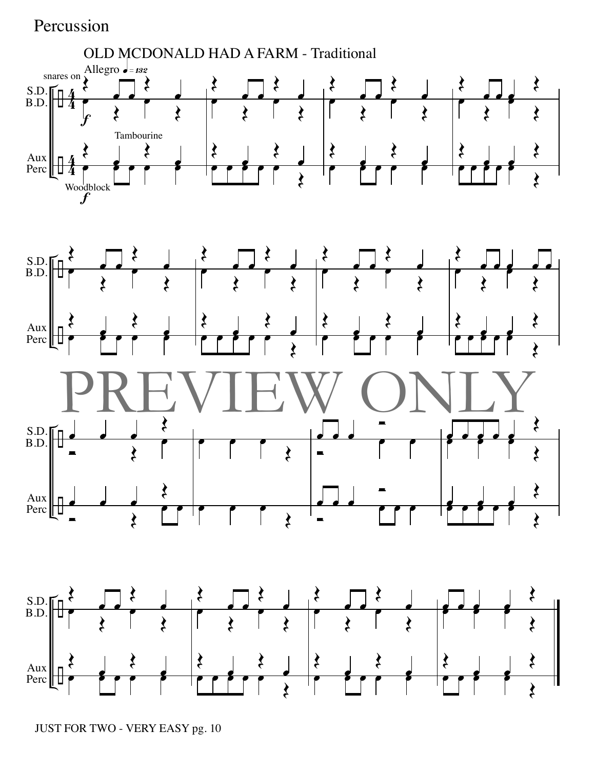

JUST FOR TWO - VERY EASY pg. 10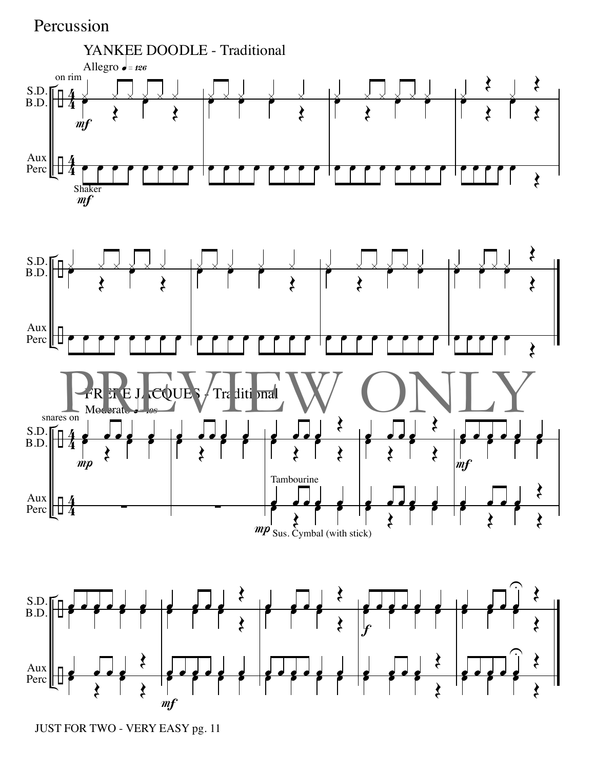

JUST FOR TWO - VERY EASY pg. 11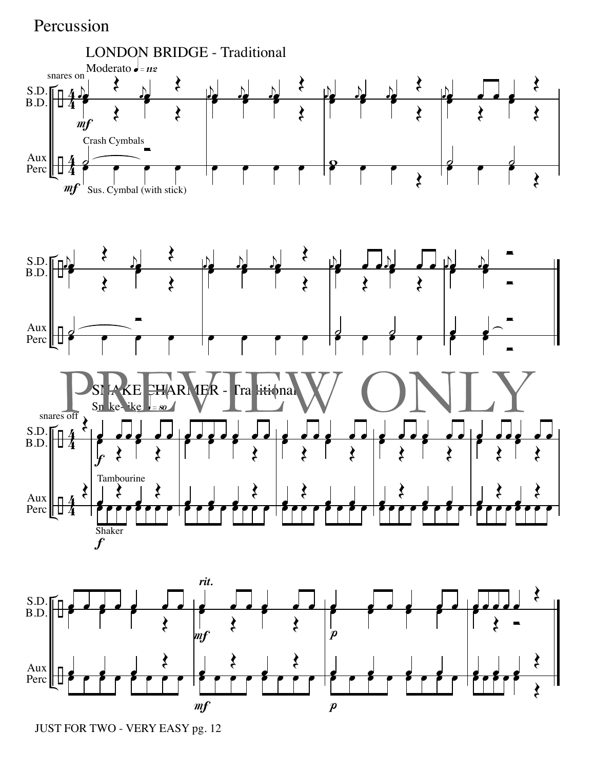

JUST FOR TWO - VERY EASY pg. 12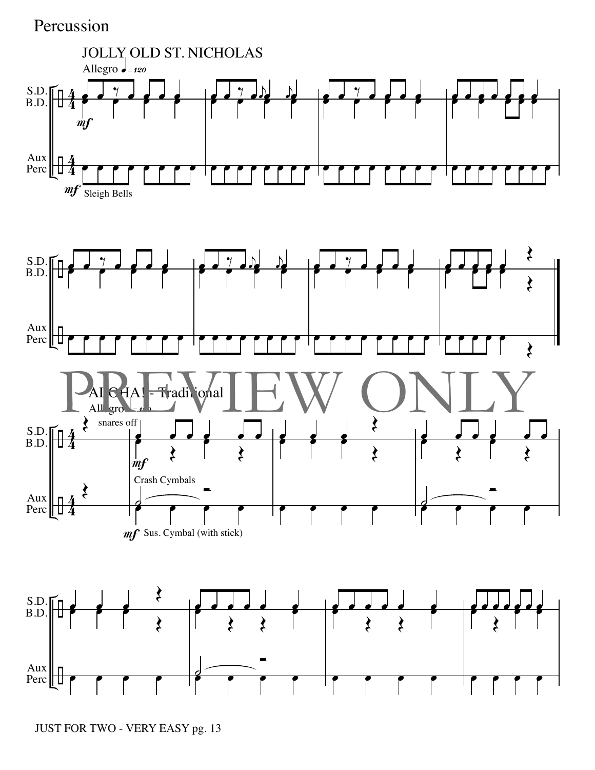

JUST FOR TWO - VERY EASY pg. 13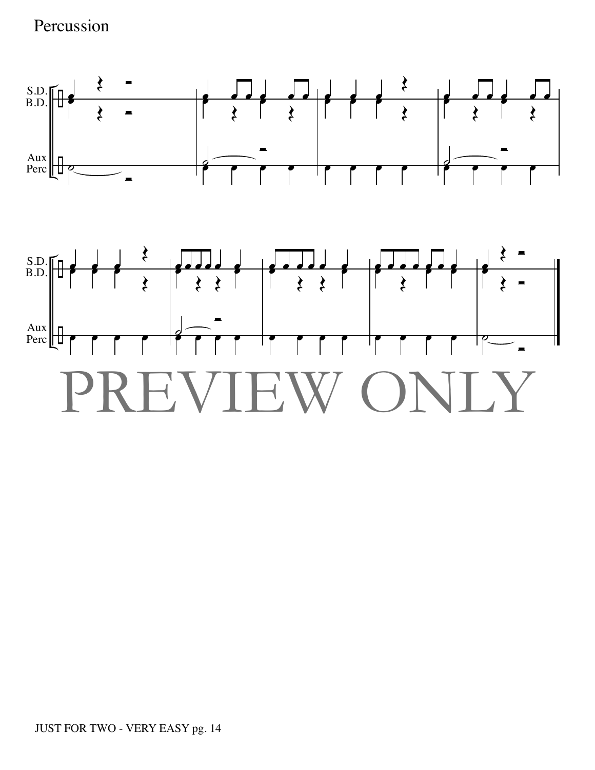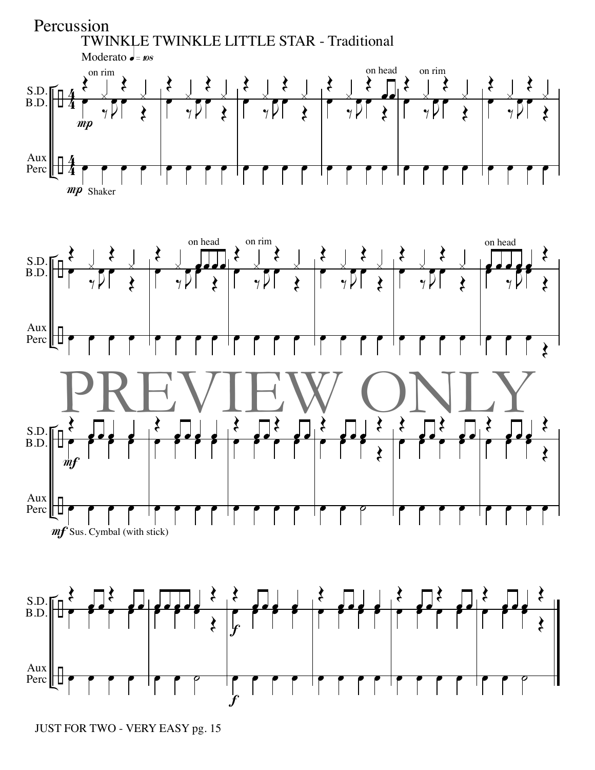

JUST FOR TWO - VERY EASY pg. 15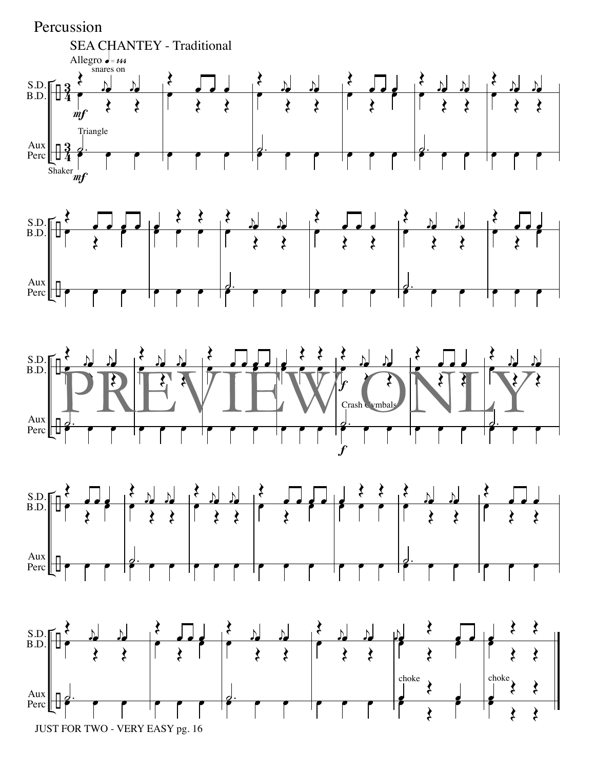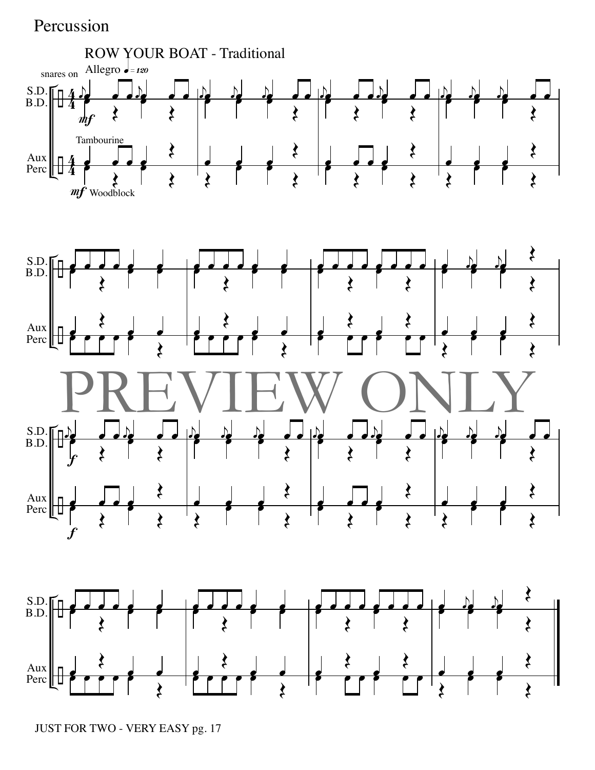

JUST FOR TWO - VERY EASY pg. 17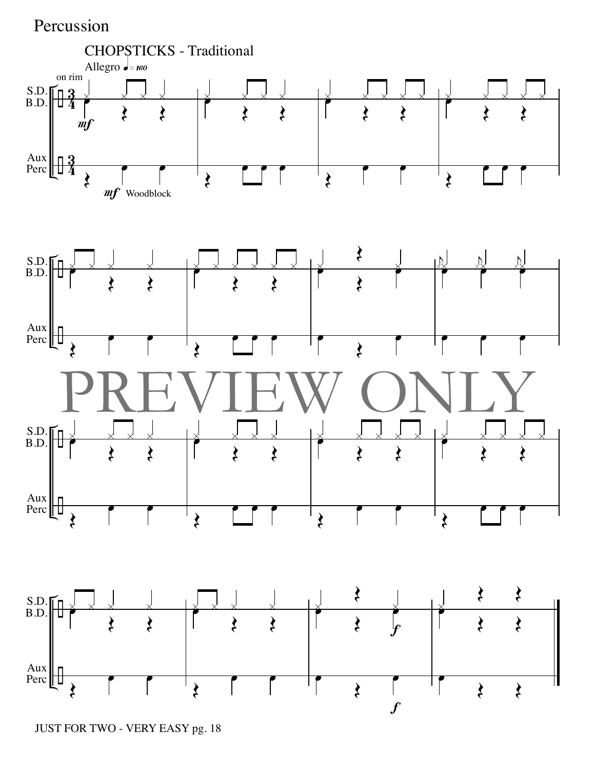